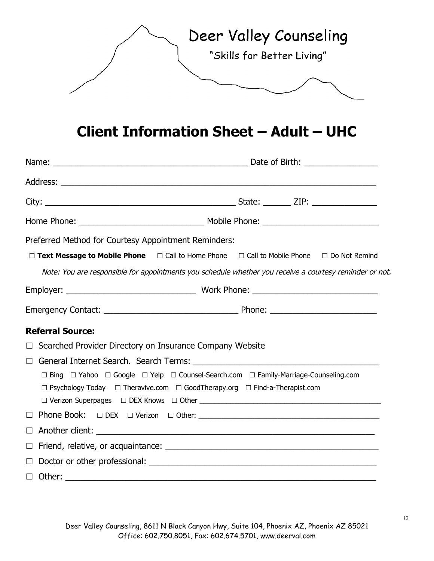

# **Client Information Sheet – Adult – UHC**

| Preferred Method for Courtesy Appointment Reminders:                                                               |  |  |  |  |
|--------------------------------------------------------------------------------------------------------------------|--|--|--|--|
| $\Box$ Text Message to Mobile Phone $\Box$ Call to Home Phone $\Box$ Call to Mobile Phone $\Box$ Do Not Remind     |  |  |  |  |
| Note: You are responsible for appointments you schedule whether you receive a courtesy reminder or not.            |  |  |  |  |
|                                                                                                                    |  |  |  |  |
|                                                                                                                    |  |  |  |  |
| <b>Referral Source:</b>                                                                                            |  |  |  |  |
| Searched Provider Directory on Insurance Company Website<br>$\Box$                                                 |  |  |  |  |
| $\Box$                                                                                                             |  |  |  |  |
| $\Box$ Bing $\Box$ Yahoo $\Box$ Google $\Box$ Yelp $\Box$ Counsel-Search.com $\Box$ Family-Marriage-Counseling.com |  |  |  |  |
| $\Box$ Psychology Today $\Box$ Theravive.com $\Box$ GoodTherapy.org $\Box$ Find-a-Therapist.com                    |  |  |  |  |
|                                                                                                                    |  |  |  |  |
| $\Box$                                                                                                             |  |  |  |  |
| $\Box$                                                                                                             |  |  |  |  |
| $\Box$                                                                                                             |  |  |  |  |
| $\Box$                                                                                                             |  |  |  |  |
|                                                                                                                    |  |  |  |  |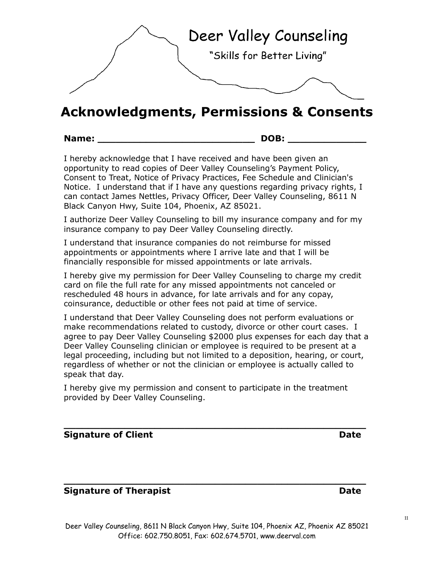

I hereby give my permission for Deer Valley Counseling to charge my credit coinsurance, deductible or other fees not paid at time of service.

I understand that Deer Valley Counseling does not perform evaluations or make recommendations related to custody, divorce or other court cases. I agree to pay Deer Valley Counseling \$2000 plus expenses for each day that a Deer Valley Counseling clinician or employee is required to be present at a legal proceeding, including but not limited to a deposition, hearing, or court, regardless of whether or not the clinician or employee is actually called to

I authorize Deer Valley Counseling to bill my insurance company and for my insurance company to pay Deer Valley Counseling directly.

opportunity to read copies of Deer Valley Counseling's Payment Policy, Consent to Treat, Notice of Privacy Practices, Fee Schedule and Clinician's Notice. I understand that if I have any questions regarding privacy rights, I can contact James Nettles, Privacy Officer, Deer Valley Counseling, 8611 N Black Canyon Hwy, Suite 104, Phoenix, AZ 85021.

**Acknowledgments, Permissions & Consents**

Deer Valley Counseling

"Skills for Better Living"

I understand that insurance companies do not reimburse for missed appointments or appointments where I arrive late and that I will be financially responsible for missed appointments or late arrivals.

**Name: \_\_\_\_\_\_\_\_\_\_\_\_\_\_\_\_\_\_\_\_\_\_\_\_\_\_ DOB: \_\_\_\_\_\_\_\_\_\_\_\_\_**

I hereby acknowledge that I have received and have been given an

card on file the full rate for any missed appointments not canceled or rescheduled 48 hours in advance, for late arrivals and for any copay,

speak that day.

Deer Valley Counseling, 8611 N Black Canyon Hwy, Suite 104, Phoenix AZ, Phoenix AZ 85021 Office: 602.750.8051, Fax: 602.674.5701, www.deerval.com

**Signature of Therapist Date Date Date**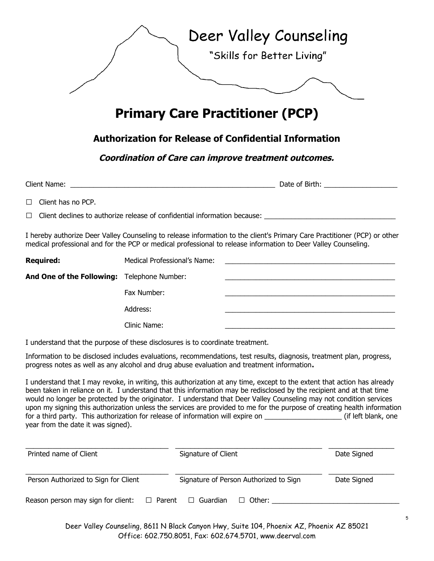

# **Primary Care Practitioner (PCP)**

### **Authorization for Release of Confidential Information**

**Coordination of Care can improve treatment outcomes.**

| Client<br>: Name:<br>. | --<br>Date .<br>Birth<br>0t |
|------------------------|-----------------------------|
|                        |                             |

□ Client has no PCP.

 $\Box$  Client declines to authorize release of confidential information because:

I hereby authorize Deer Valley Counseling to release information to the client's Primary Care Practitioner (PCP) or other medical professional and for the PCP or medical professional to release information to Deer Valley Counseling.

| <b>Required:</b>                            | Medical Professional's Name: |  |
|---------------------------------------------|------------------------------|--|
| And One of the Following: Telephone Number: |                              |  |
|                                             | Fax Number:                  |  |
|                                             | Address:                     |  |
|                                             | Clinic Name:                 |  |

I understand that the purpose of these disclosures is to coordinate treatment.

Information to be disclosed includes evaluations, recommendations, test results, diagnosis, treatment plan, progress, progress notes as well as any alcohol and drug abuse evaluation and treatment information**.**

I understand that I may revoke, in writing, this authorization at any time, except to the extent that action has already been taken in reliance on it. I understand that this information may be redisclosed by the recipient and at that time would no longer be protected by the originator. I understand that Deer Valley Counseling may not condition services upon my signing this authorization unless the services are provided to me for the purpose of creating health information for a third party. This authorization for release of information will expire on \_\_\_\_\_\_\_\_\_\_\_\_\_\_\_\_\_\_\_\_ (if left blank, one year from the date it was signed).

| Printed name of Client               |               | Signature of Client |                                        | Date Signed |
|--------------------------------------|---------------|---------------------|----------------------------------------|-------------|
| Person Authorized to Sign for Client |               |                     | Signature of Person Authorized to Sign | Date Signed |
| Reason person may sign for client:   | $\Box$ Parent | Guardian<br>$\Box$  | $\Box$ Other:                          |             |

Deer Valley Counseling, 8611 N Black Canyon Hwy, Suite 104, Phoenix AZ, Phoenix AZ 85021 Office: 602.750.8051, Fax: 602.674.5701, www.deerval.com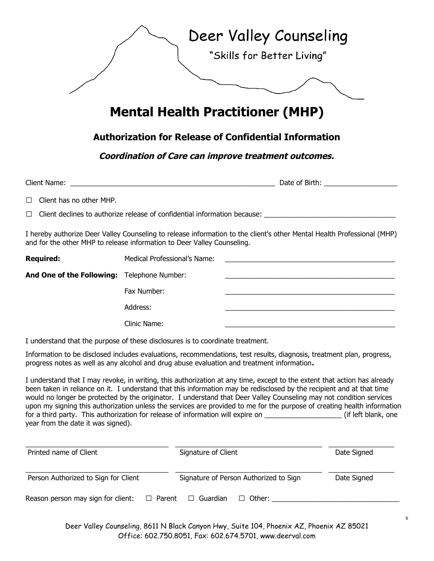

### **Authorization for Release of Confidential Information**

#### **Coordination of Care can improve treatment outcomes.**

| Client Name:                                                                     |  |
|----------------------------------------------------------------------------------|--|
| $\Box$ Client has no other MHP.                                                  |  |
| $\Box$ Client declines to authorize release of confidential information because: |  |
|                                                                                  |  |

I hereby authorize Deer Valley Counseling to release information to the client's other Mental Health Professional (MHP) and for the other MHP to release information to Deer Valley Counseling.

| <b>Required:</b>                            | Medical Professional's Name: | <u> 1989 - John Amerikaanse kommunister († 1958)</u> |
|---------------------------------------------|------------------------------|------------------------------------------------------|
| And One of the Following: Telephone Number: |                              |                                                      |
|                                             | Fax Number:                  |                                                      |
|                                             | Address:                     |                                                      |
|                                             | Clinic Name:                 |                                                      |

I understand that the purpose of these disclosures is to coordinate treatment.

Information to be disclosed includes evaluations, recommendations, test results, diagnosis, treatment plan, progress, progress notes as well as any alcohol and drug abuse evaluation and treatment information**.**

I understand that I may revoke, in writing, this authorization at any time, except to the extent that action has already been taken in reliance on it. I understand that this information may be redisclosed by the recipient and at that time would no longer be protected by the originator. I understand that Deer Valley Counseling may not condition services upon my signing this authorization unless the services are provided to me for the purpose of creating health information for a third party. This authorization for release of information will expire on  $\Box$  (if left blank, one year from the date it was signed).

| Printed name of Client               |               | Signature of Client |                                        | Date Signed |
|--------------------------------------|---------------|---------------------|----------------------------------------|-------------|
| Person Authorized to Sign for Client |               |                     | Signature of Person Authorized to Sign | Date Signed |
| Reason person may sign for client:   | $\Box$ Parent | □ Guardian          | $\Box$ Other:                          |             |

Deer Valley Counseling, 8611 N Black Canyon Hwy, Suite 104, Phoenix AZ, Phoenix AZ 85021 Office: 602.750.8051, Fax: 602.674.5701, www.deerval.com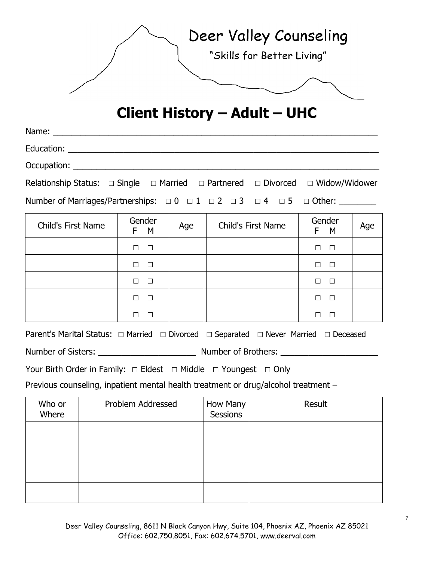| Deer Valley Counseling     |
|----------------------------|
| "Skills for Better Living" |
|                            |

# **Client History – Adult – UHC**

| Occupation: New York Products and American Section 2014                                                 |               |     |  |                    |               |     |
|---------------------------------------------------------------------------------------------------------|---------------|-----|--|--------------------|---------------|-----|
| Relationship Status: $\Box$ Single $\Box$ Married $\Box$ Partnered $\Box$ Divorced $\Box$ Widow/Widower |               |     |  |                    |               |     |
| Number of Marriages/Partnerships: $\Box 0 \Box 1 \Box 2 \Box 3 \Box 4 \Box 5 \Box$ Other:               |               |     |  |                    |               |     |
| <b>Child's First Name</b>                                                                               | Gender<br>F M | Age |  | Child's First Name | Gender<br>F M | Age |
|                                                                                                         |               |     |  |                    |               |     |

| $\Box$        |  | $\Box$        |  |
|---------------|--|---------------|--|
| $\Box$ $\Box$ |  | $\Box$ $\Box$ |  |
| $\Box$        |  | $\Box$        |  |
| $\Box$        |  | $\Box$        |  |
| $\Box$        |  | $\Box$        |  |

| Number of Sisters: | Number of Brothers: |
|--------------------|---------------------|
|--------------------|---------------------|

Previous counseling, inpatient mental health treatment or drug/alcohol treatment –

| Who or<br>Where | Problem Addressed | How Many<br>Sessions | Result |
|-----------------|-------------------|----------------------|--------|
|                 |                   |                      |        |
|                 |                   |                      |        |
|                 |                   |                      |        |
|                 |                   |                      |        |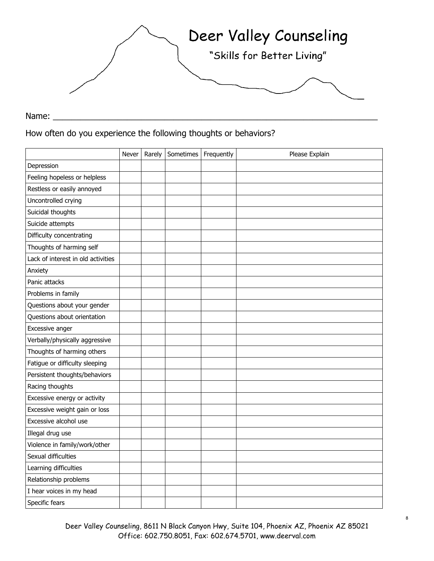

Name: \_\_\_\_\_\_\_\_\_\_\_\_\_\_\_\_\_\_\_\_\_\_\_\_\_\_\_\_\_\_\_\_\_\_\_\_\_\_\_\_\_\_\_\_\_\_\_\_\_\_\_\_\_\_\_\_\_\_\_\_\_\_\_\_\_\_\_\_\_\_

How often do you experience the following thoughts or behaviors?

|                                    | Never | Rarely | Sometimes   Frequently | Please Explain |
|------------------------------------|-------|--------|------------------------|----------------|
| Depression                         |       |        |                        |                |
| Feeling hopeless or helpless       |       |        |                        |                |
| Restless or easily annoyed         |       |        |                        |                |
| Uncontrolled crying                |       |        |                        |                |
| Suicidal thoughts                  |       |        |                        |                |
| Suicide attempts                   |       |        |                        |                |
| Difficulty concentrating           |       |        |                        |                |
| Thoughts of harming self           |       |        |                        |                |
| Lack of interest in old activities |       |        |                        |                |
| Anxiety                            |       |        |                        |                |
| Panic attacks                      |       |        |                        |                |
| Problems in family                 |       |        |                        |                |
| Questions about your gender        |       |        |                        |                |
| Questions about orientation        |       |        |                        |                |
| Excessive anger                    |       |        |                        |                |
| Verbally/physically aggressive     |       |        |                        |                |
| Thoughts of harming others         |       |        |                        |                |
| Fatigue or difficulty sleeping     |       |        |                        |                |
| Persistent thoughts/behaviors      |       |        |                        |                |
| Racing thoughts                    |       |        |                        |                |
| Excessive energy or activity       |       |        |                        |                |
| Excessive weight gain or loss      |       |        |                        |                |
| Excessive alcohol use              |       |        |                        |                |
| Illegal drug use                   |       |        |                        |                |
| Violence in family/work/other      |       |        |                        |                |
| Sexual difficulties                |       |        |                        |                |
| Learning difficulties              |       |        |                        |                |
| Relationship problems              |       |        |                        |                |
| I hear voices in my head           |       |        |                        |                |
| Specific fears                     |       |        |                        |                |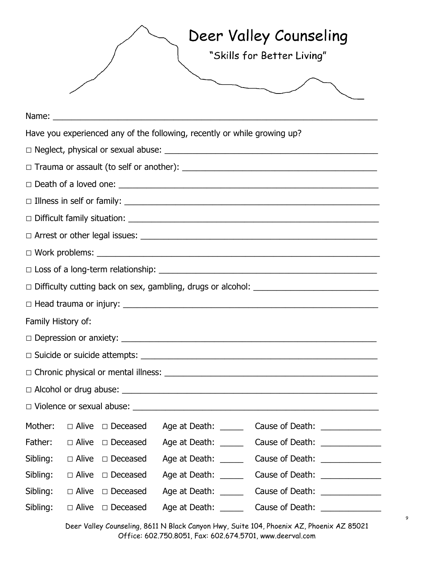|                    |  |                                                                                                                                                                                                                                |                                                                          | Deer Valley Counseling<br>"Skills for Better Living" |
|--------------------|--|--------------------------------------------------------------------------------------------------------------------------------------------------------------------------------------------------------------------------------|--------------------------------------------------------------------------|------------------------------------------------------|
|                    |  | Name: when the contract of the contract of the contract of the contract of the contract of the contract of the contract of the contract of the contract of the contract of the contract of the contract of the contract of the |                                                                          |                                                      |
|                    |  |                                                                                                                                                                                                                                | Have you experienced any of the following, recently or while growing up? |                                                      |
|                    |  |                                                                                                                                                                                                                                |                                                                          |                                                      |
|                    |  |                                                                                                                                                                                                                                |                                                                          |                                                      |
|                    |  |                                                                                                                                                                                                                                |                                                                          |                                                      |
|                    |  |                                                                                                                                                                                                                                |                                                                          |                                                      |
|                    |  |                                                                                                                                                                                                                                |                                                                          |                                                      |
|                    |  |                                                                                                                                                                                                                                |                                                                          |                                                      |
|                    |  |                                                                                                                                                                                                                                |                                                                          |                                                      |
|                    |  |                                                                                                                                                                                                                                |                                                                          |                                                      |
|                    |  |                                                                                                                                                                                                                                |                                                                          |                                                      |
|                    |  |                                                                                                                                                                                                                                |                                                                          |                                                      |
| Family History of: |  |                                                                                                                                                                                                                                |                                                                          |                                                      |
|                    |  |                                                                                                                                                                                                                                |                                                                          |                                                      |
|                    |  |                                                                                                                                                                                                                                |                                                                          |                                                      |
|                    |  |                                                                                                                                                                                                                                |                                                                          |                                                      |
|                    |  |                                                                                                                                                                                                                                |                                                                          |                                                      |
|                    |  |                                                                                                                                                                                                                                |                                                                          |                                                      |
|                    |  | Mother: $\Box$ Alive $\Box$ Deceased                                                                                                                                                                                           | Age at Death: _____                                                      |                                                      |
|                    |  | Father: $\Box$ Alive $\Box$ Deceased                                                                                                                                                                                           | Age at Death: _____                                                      | Cause of Death: _______________                      |
|                    |  | Sibling: $\Box$ Alive $\Box$ Deceased                                                                                                                                                                                          | Age at Death: _____                                                      | Cause of Death: _______________                      |
|                    |  | Sibling: $\Box$ Alive $\Box$ Deceased                                                                                                                                                                                          | Age at Death: _____                                                      | Cause of Death: _______________                      |
|                    |  | Sibling: $\Box$ Alive $\Box$ Deceased                                                                                                                                                                                          | Age at Death: _____                                                      | Cause of Death: _______________                      |
| Sibling:           |  | □ Alive □ Deceased                                                                                                                                                                                                             | Age at Death: _____                                                      | Cause of Death: _______________                      |

Deer Valley Counseling, 8611 N Black Canyon Hwy, Suite 104, Phoenix AZ, Phoenix AZ 85021 Office: 602.750.8051, Fax: 602.674.5701, www.deerval.com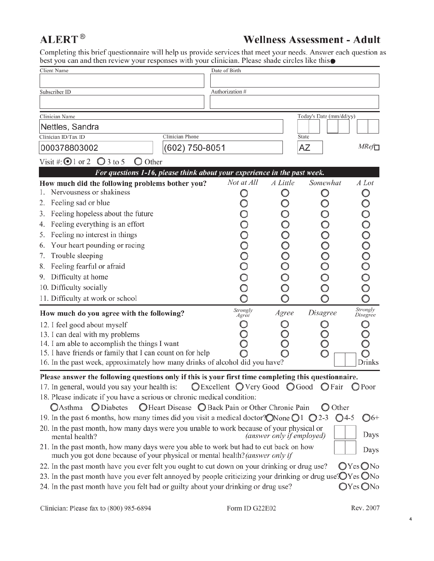## **ALERT®**

## **Wellness Assessment - Adult**

Completing this brief questionnaire will help us provide services that meet your needs. Answer each question as best you can and then review your responses with your clinician. Please shade circles like this

| Client Name                                                                                                                                                           | Date of Birth                                                             |                           |                         |                   |
|-----------------------------------------------------------------------------------------------------------------------------------------------------------------------|---------------------------------------------------------------------------|---------------------------|-------------------------|-------------------|
|                                                                                                                                                                       |                                                                           |                           |                         |                   |
| Subscriber ID                                                                                                                                                         | Authorization #                                                           |                           |                         |                   |
|                                                                                                                                                                       |                                                                           |                           |                         |                   |
| Clinician Name                                                                                                                                                        |                                                                           |                           | Today's Date (mm/dd/yy) |                   |
| Nettles, Sandra                                                                                                                                                       |                                                                           |                           |                         |                   |
| Clinician ID/Tax ID                                                                                                                                                   | Clinician Phone                                                           |                           | State                   |                   |
| 000378803002                                                                                                                                                          | (602) 750-8051                                                            |                           | AZ                      | MRef              |
| Visit #: $\odot$ 1 or 2 $\odot$ 3 to 5<br>Other<br>O                                                                                                                  |                                                                           |                           |                         |                   |
|                                                                                                                                                                       | For questions 1-16, please think about your experience in the past week.  |                           |                         |                   |
| How much did the following problems bother you?                                                                                                                       | Not at All                                                                | A Little                  | Somewhat                | A Lot             |
| Nervousness or shakiness                                                                                                                                              | O                                                                         | O                         | O                       |                   |
| Feeling sad or blue<br>2.                                                                                                                                             |                                                                           | O                         |                         |                   |
| Feeling hopeless about the future<br>3.                                                                                                                               |                                                                           |                           |                         |                   |
| Feeling everything is an effort<br>4.                                                                                                                                 |                                                                           |                           |                         |                   |
| Feeling no interest in things<br>5.                                                                                                                                   |                                                                           |                           |                         |                   |
| Your heart pounding or racing<br>6.<br>Trouble sleeping<br>7.                                                                                                         |                                                                           | 00000000                  |                         |                   |
| Feeling fearful or afraid<br>8.                                                                                                                                       |                                                                           |                           |                         |                   |
| Difficulty at home<br>9.                                                                                                                                              |                                                                           |                           |                         |                   |
| 10. Difficulty socially                                                                                                                                               |                                                                           |                           |                         |                   |
| 11. Difficulty at work or school                                                                                                                                      |                                                                           |                           |                         |                   |
|                                                                                                                                                                       |                                                                           |                           |                         | Strongly          |
| How much do you agree with the following?                                                                                                                             | Strongly<br>Agree                                                         | Agree                     | Disagree                | Disagree          |
| 12. I feel good about myself                                                                                                                                          |                                                                           | O                         |                         |                   |
| 13. I can deal with my problems<br>14. I am able to accomplish the things I want                                                                                      |                                                                           |                           |                         |                   |
| 15. I have friends or family that I can count on for help                                                                                                             |                                                                           |                           |                         |                   |
| 16. In the past week, approximately how many drinks of alcohol did you have?                                                                                          |                                                                           |                           |                         | <b>Drinks</b>     |
| Please answer the following questions only if this is your first time completing this questionnaire.                                                                  |                                                                           |                           |                         |                   |
| 17. In general, would you say your health is:                                                                                                                         | $\bigcirc$ Excellent $\bigcirc$ Very Good $\bigcirc$ Good $\bigcirc$ Fair |                           |                         | $Q$ Poor          |
| 18. Please indicate if you have a serious or chronic medical condition:                                                                                               |                                                                           |                           |                         |                   |
| <b>O</b> Diabetes<br><b>O</b> Asthma                                                                                                                                  | ○ Heart Disease ○ Back Pain or Other Chronic Pain                         |                           | $\bigcirc$ Other        |                   |
| 19. In the past 6 months, how many times did you visit a medical doctor? ONone $\bigcirc$ 1 $\bigcirc$ 2-3                                                            |                                                                           |                           | $\bigcirc$ 4-5          | $\mathbb{O}^{6+}$ |
| 20. In the past month, how many days were you unable to work because of your physical or<br>mental health?                                                            |                                                                           | (answer only if employed) |                         | Days              |
| 21. In the past month, how many days were you able to work but had to cut back on how<br>much you got done because of your physical or mental health? (answer only if |                                                                           |                           |                         | Days              |
| 22. In the past month have you ever felt you ought to cut down on your drinking or drug use?                                                                          |                                                                           |                           |                         | $O$ Yes $O$ No    |
| 23. In the past month have you ever felt annoyed by people criticizing your drinking or drug use: $\bigcirc$ Yes $\bigcirc$ No                                        |                                                                           |                           |                         |                   |
| 24. In the past month have you felt bad or guilty about your drinking or drug use?                                                                                    |                                                                           |                           |                         | $O$ Yes $O$ No    |

 $\overline{\mathbf{4}}$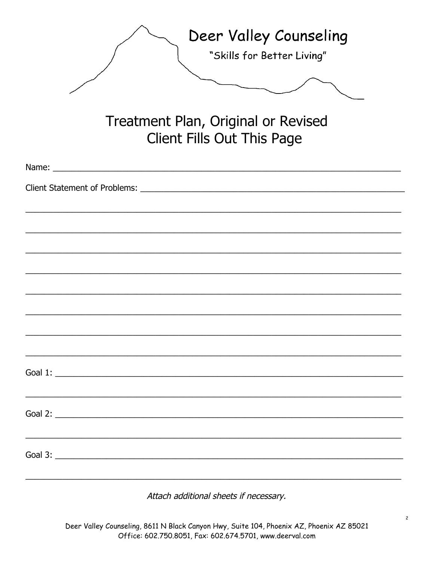| Deer Valley Counseling<br>"Skills for Better Living"                                                                                                                                                                           |
|--------------------------------------------------------------------------------------------------------------------------------------------------------------------------------------------------------------------------------|
| Treatment Plan, Original or Revised<br><b>Client Fills Out This Page</b>                                                                                                                                                       |
| Name: Name and the state of the state of the state of the state of the state of the state of the state of the state of the state of the state of the state of the state of the state of the state of the state of the state of |
|                                                                                                                                                                                                                                |
|                                                                                                                                                                                                                                |
|                                                                                                                                                                                                                                |
|                                                                                                                                                                                                                                |
|                                                                                                                                                                                                                                |
|                                                                                                                                                                                                                                |
|                                                                                                                                                                                                                                |
|                                                                                                                                                                                                                                |
|                                                                                                                                                                                                                                |
|                                                                                                                                                                                                                                |
|                                                                                                                                                                                                                                |
| Goal 2: $\overline{\phantom{a}}$                                                                                                                                                                                               |
|                                                                                                                                                                                                                                |
| Goal 3: $\overline{\phantom{a}}$                                                                                                                                                                                               |

Attach additional sheets if necessary.

Deer Valley Counseling, 8611 N Black Canyon Hwy, Suite 104, Phoenix AZ, Phoenix AZ 85021 Office: 602.750.8051, Fax: 602.674.5701, www.deerval.com

 $\overline{c}$